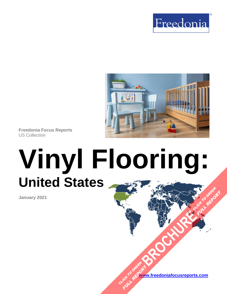



**Freedonia Focus Reports** US Collection

# **Vinyl Flooring: United States [BROCHURE](https://www.freedoniafocusreports.com/Vinyl-Flooring-United-States-FF60065/?progid=89541) CLICK TO ORDER FULL REPORT**

**January 2021**

**[www.freedoniafocusreports.com](https://www.freedoniafocusreports.com/redirect.asp?progid=89534&url=/)** CLICK TO ORDER **FULL REPORT**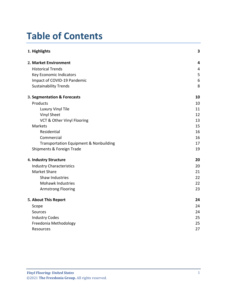# **Table of Contents**

| 1. Highlights                                     | 3                       |
|---------------------------------------------------|-------------------------|
| 2. Market Environment                             | 4                       |
| <b>Historical Trends</b>                          | $\overline{\mathbf{4}}$ |
| Key Economic Indicators                           | 5                       |
| Impact of COVID-19 Pandemic                       | $\boldsymbol{6}$        |
| <b>Sustainability Trends</b>                      | 8                       |
| 3. Segmentation & Forecasts                       | 10                      |
| Products                                          | 10                      |
| Luxury Vinyl Tile                                 | 11                      |
| <b>Vinyl Sheet</b>                                | 12                      |
| VCT & Other Vinyl Flooring                        | 13                      |
| <b>Markets</b>                                    | 15                      |
| Residential                                       | 16                      |
| Commercial                                        | 16                      |
| <b>Transportation Equipment &amp; Nonbuilding</b> | 17                      |
| Shipments & Foreign Trade                         | 19                      |
| 4. Industry Structure                             | 20                      |
| <b>Industry Characteristics</b>                   | 20                      |
| <b>Market Share</b>                               | 21                      |
| <b>Shaw Industries</b>                            | 22                      |
| Mohawk Industries                                 | 22                      |
| <b>Armstrong Flooring</b>                         | 23                      |
| 5. About This Report                              | 24                      |
| Scope                                             | 24                      |
| Sources                                           | 24                      |
| <b>Industry Codes</b>                             | 25                      |
| Freedonia Methodology                             | 25                      |
| <b>Resources</b>                                  | 27                      |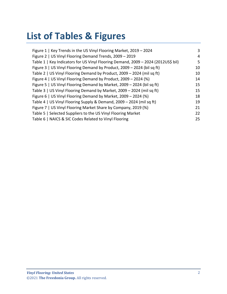# **List of Tables & Figures**

| Figure 1   Key Trends in the US Vinyl Flooring Market, 2019 - 2024                | 3  |
|-----------------------------------------------------------------------------------|----|
| Figure 2   US Vinyl Flooring Demand Trends, 2009 - 2019                           | 4  |
| Table 1   Key Indicators for US Vinyl Flooring Demand, 2009 - 2024 (2012US\$ bil) | 5  |
| Figure 3   US Vinyl Flooring Demand by Product, 2009 - 2024 (bil sq ft)           | 10 |
| Table 2   US Vinyl Flooring Demand by Product, 2009 - 2024 (mil sq ft)            | 10 |
| Figure 4   US Vinyl Flooring Demand by Product, 2009 - 2024 (%)                   | 14 |
| Figure 5   US Vinyl Flooring Demand by Market, 2009 - 2024 (bil sq ft)            | 15 |
| Table 3   US Vinyl Flooring Demand by Market, 2009 - 2024 (mil sq ft)             | 15 |
| Figure 6   US Vinyl Flooring Demand by Market, 2009 - 2024 (%)                    | 18 |
| Table 4   US Vinyl Flooring Supply & Demand, 2009 - 2024 (mil sq ft)              | 19 |
| Figure 7   US Vinyl Flooring Market Share by Company, 2019 (%)                    | 21 |
| Table 5   Selected Suppliers to the US Vinyl Flooring Market                      | 22 |
| Table 6   NAICS & SIC Codes Related to Vinyl Flooring                             | 25 |
|                                                                                   |    |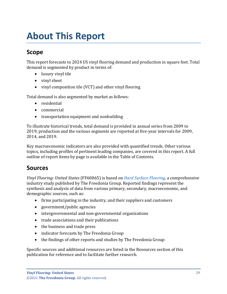# <span id="page-3-0"></span>**About This Report**

## <span id="page-3-1"></span>**Scope**

This report forecasts to 2024 US vinyl flooring demand and production in square feet. Total demand is segmented by product in terms of:

- luxury vinyl tile
- vinyl sheet
- vinyl composition tile (VCT) and other vinyl flooring

Total demand is also segmented by market as follows:

- residential
- commercial
- transportation equipment and nonbuilding

To illustrate historical trends, total demand is provided in annual series from 2009 to 2019; production and the various segments are reported at five-year intervals for 2009, 2014, and 2019.

Key macroeconomic indicators are also provided with quantified trends. Other various topics, including profiles of pertinent leading companies, are covered in this report. A full outline of report items by page is available in the Table of Contents.

### <span id="page-3-2"></span>**Sources**

*Vinyl Flooring: United States* (FF60065) is based on *[Hard Surface Flooring,](http://www.freedoniagroup.com/DocumentDetails.aspx?ReferrerId=FL-FOCUS&studyid=3989)* a comprehensive industry study published by The Freedonia Group. Reported findings represent the synthesis and analysis of data from various primary, secondary, macroeconomic, and demographic sources, such as:

- firms participating in the industry, and their suppliers and customers
- government/public agencies
- intergovernmental and non-governmental organizations
- trade associations and their publications
- the business and trade press
- indicator forecasts by The Freedonia Group
- the findings of other reports and studies by The Freedonia Group

Specific sources and additional resources are listed in the Resources section of this publication for reference and to facilitate further research.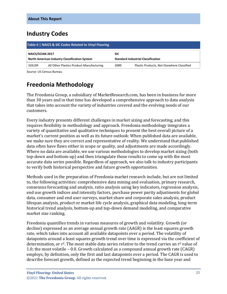# <span id="page-4-0"></span>**Industry Codes**

<span id="page-4-2"></span>

| Table 6   NAICS & SIC Codes Related to Vinyl Flooring |                                               |            |                                            |
|-------------------------------------------------------|-----------------------------------------------|------------|--------------------------------------------|
| <b>NAICS/SCIAN 2017</b>                               | North American Industry Classification System | <b>SIC</b> | <b>Standard Industrial Classification</b>  |
|                                                       |                                               |            |                                            |
| 326199                                                | All Other Plastics Product Manufacturing      | 3089       | Plastic Products, Not Elsewhere Classified |

Source: US Census Bureau

# <span id="page-4-1"></span>**Freedonia Methodology**

The Freedonia Group, a subsidiary of MarketResearch.com, has been in business for more than 30 years and in that time has developed a comprehensive approach to data analysis that takes into account the variety of industries covered and the evolving needs of our customers.

Every industry presents different challenges in market sizing and forecasting, and this requires flexibility in methodology and approach. Freedonia methodology integrates a variety of quantitative and qualitative techniques to present the best overall picture of a market's current position as well as its future outlook: When published data are available, we make sure they are correct and representative of reality. We understand that published data often have flaws either in scope or quality, and adjustments are made accordingly. Where no data are available, we use various methodologies to develop market sizing (both top-down and bottom-up) and then triangulate those results to come up with the most accurate data series possible. Regardless of approach, we also talk to industry participants to verify both historical perspective and future growth opportunities.

Methods used in the preparation of Freedonia market research include, but are not limited to, the following activities: comprehensive data mining and evaluation, primary research, consensus forecasting and analysis, ratio analysis using key indicators, regression analysis, end use growth indices and intensity factors, purchase power parity adjustments for global data, consumer and end user surveys, market share and corporate sales analysis, product lifespan analysis, product or market life cycle analysis, graphical data modeling, long-term historical trend analysis, bottom-up and top-down demand modeling, and comparative market size ranking.

Freedonia quantifies trends in various measures of growth and volatility. Growth (or decline) expressed as an average annual growth rate (AAGR) is the least squares growth rate, which takes into account all available datapoints over a period. The volatility of datapoints around a least squares growth trend over time is expressed via the coefficient of determination, or  $r^2$ . The most stable data series relative to the trend carries an  $r^2$  value of 1.0; the most volatile – 0.0. Growth calculated as a compound annual growth rate (CAGR) employs, by definition, only the first and last datapoints over a period. The CAGR is used to describe forecast growth, defined as the expected trend beginning in the base year and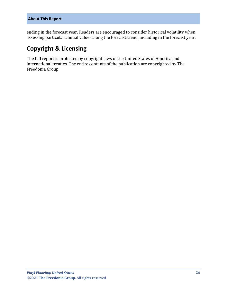ending in the forecast year. Readers are encouraged to consider historical volatility when assessing particular annual values along the forecast trend, including in the forecast year.

# **Copyright & Licensing**

The full report is protected by copyright laws of the United States of America and international treaties. The entire contents of the publication are copyrighted by The Freedonia Group.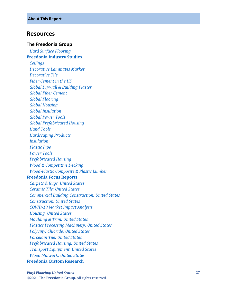#### <span id="page-6-0"></span>**Resources**

#### **The Freedonia Group**

 *[Hard Surface Flooring](http://www.freedoniagroup.com/DocumentDetails.aspx?ReferrerId=FL-FOCUS&studyid=3989)* **[Freedonia Industry Studies](http://www.freedoniagroup.com/Home.aspx?ReferrerId=FL-Focus)**  *[Ceilings](http://www.freedoniagroup.com/DocumentDetails.aspx?ReferrerId=FL-FOCUS&studyid=3719) [Decorative Laminates Market](http://www.freedoniagroup.com/DocumentDetails.aspx?ReferrerId=FL-FOCUS&studyid=3662) [Decorative Tile](http://www.freedoniagroup.com/DocumentDetails.aspx?ReferrerId=FL-FOCUS&studyid=3697) [Fiber Cement in the US](http://www.freedoniagroup.com/DocumentDetails.aspx?ReferrerId=FL-FOCUS&studyid=3638) [Global Drywall & Building Plaster](http://www.freedoniagroup.com/DocumentDetails.aspx?ReferrerId=FL-FOCUS&studyid=3768) [Global Fiber Cement](http://www.freedoniagroup.com/DocumentDetails.aspx?ReferrerId=FL-FOCUS&studyid=3746) [Global Flooring](http://www.freedoniagroup.com/DocumentDetails.aspx?ReferrerId=FL-FOCUS&studyid=3701) [Global Housing](http://www.freedoniagroup.com/DocumentDetails.aspx?ReferrerId=FL-FOCUS&studyid=3877) [Global Insulation](http://www.freedoniagroup.com/DocumentDetails.aspx?ReferrerId=FL-FOCUS&studyid=3826) [Global Power Tools](http://www.freedoniagroup.com/DocumentDetails.aspx?ReferrerId=FL-FOCUS&studyid=3969) [Global Prefabricated Housing](http://www.freedoniagroup.com/DocumentDetails.aspx?ReferrerId=FL-FOCUS&studyid=3971) [Hand Tools](http://www.freedoniagroup.com/DocumentDetails.aspx?ReferrerId=FL-FOCUS&studyid=3833) [Hardscaping Products](http://www.freedoniagroup.com/DocumentDetails.aspx?ReferrerId=FL-FOCUS&studyid=3795) [Insulation](http://www.freedoniagroup.com/DocumentDetails.aspx?ReferrerId=FL-FOCUS&studyid=3754) [Plastic Pipe](http://www.freedoniagroup.com/DocumentDetails.aspx?ReferrerId=FL-FOCUS&studyid=3898) [Power Tools](http://www.freedoniagroup.com/DocumentDetails.aspx?ReferrerId=FL-FOCUS&studyid=3818) [Prefabricated Housing](http://www.freedoniagroup.com/DocumentDetails.aspx?ReferrerId=FL-FOCUS&studyid=3814) [Wood & Competitive Decking](http://www.freedoniagroup.com/DocumentDetails.aspx?ReferrerId=FL-FOCUS&studyid=3789) Wood [-Plastic Composite & Plastic Lumber](http://www.freedoniagroup.com/DocumentDetails.aspx?ReferrerId=FL-FOCUS&studyid=3845)* **[Freedonia Focus Reports](https://www.freedoniafocusreports.com/redirect.asp?progid=89534&url=/)**  *[Carpets & Rugs: United States](https://www.freedoniafocusreports.com/Carpets-Rugs-United-States-FF15024/?progid=89534) [Ceramic Tile: United States](https://www.freedoniafocusreports.com/Ceramic-Tile-United-States-FF60068/?progid=89534) [Commercial Building Construction: United States](https://www.freedoniafocusreports.com/Commercial-Building-Construction-United-States-FF60032/?progid=89534) [Construction: United States](https://www.freedoniafocusreports.com/Construction-United-States-FF60054/?progid=89534) COVID [-19 Market Impact Analysis](https://www.freedoniafocusreports.com/COVID-19-Market-Impact-Analysis-FW95079/?progid=89534) [Housing: United States](https://www.freedoniafocusreports.com/Housing-United-States-FF60024/?progid=89534) Mo [ulding & Trim: United States](https://www.freedoniafocusreports.com/Moulding-Trim-United-States-FF20015/?progid=89534) [Plastics Processing Machinery: United States](https://www.freedoniafocusreports.com/Plastics-Processing-Machinery-United-States-FF75024/?progid=89534) [Polyvinyl Chloride: United States](https://www.freedoniafocusreports.com/Polyvinyl-Chloride-United-States-FF55020/?progid=89534) [Porcelain Tile: United States](https://www.freedoniafocusreports.com/Porcelain-Tile-United-States-FF60069/?progid=89534) [Prefabricated Housing: United States](https://www.freedoniafocusreports.com/Prefabricated-Housing-United-States-FF60031/?progid=89534) [Transport Equipment: United States](https://www.freedoniafocusreports.com/Transport-Equipment-United-States-FF85030/?progid=89534) [Wood Millwork: United States](https://www.freedoniafocusreports.com/Wood-Millwork-United-States-FF20012/?progid=89534)* **[Freedonia Custom Research](http://www.freedoniagroup.com/CustomResearch.aspx?ReferrerId=FL-Focus)**